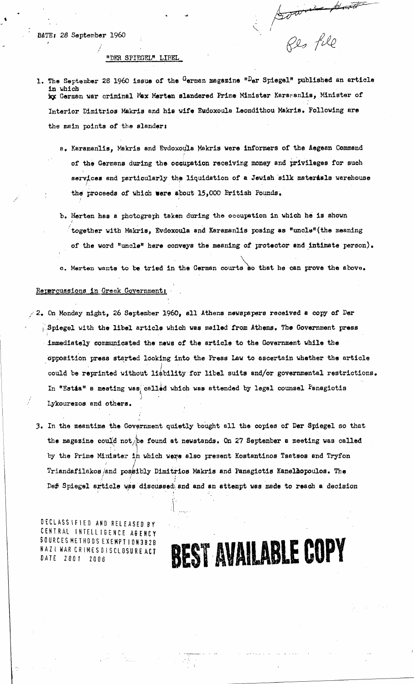#### "DER SPIEGEL" LIBEL

1. The September 28 1960 issue of the German magazine "<sup>D</sup>er Spiegel" published an article in which ig German war criminal Max Merten slandered Prime Minister Karaganlis, Minister of Interior Dimitrios Makris and his wife Eudoxoula Leondithou Makris. Following are the main points of the slander:

bown

Shoot

- a. Karamenlis, Makris and **EvdoXoUla Makris** were informers of the Aegean Command of the Germans during the. occupation receiving money and privileges for such services and particularly the liquidation of a **Jewish silk materiels** 'warehouse the proceeds of which were about 15,000 British Pounds.
- b. Herten has a photograph taken during **the occupation in** which be is shown : together with Makris, Evdoxoula and Karamanlis posing as "uncle"(the meaning of the word "uncle" here conveys the meaning of protector and intimate person).
- **0. merten wants to** be tried in the German courts ao that he can prove the above.

#### Repercussions in Greek Government;

- /2. On Monday night, 26 September 1960, all Athens newspapers **received a** copy of Per ..Spiegel with the libel article which was mailed from Athens. The Government press immediately communicated the news of the article to the Government while the 'Opposition press started /Coking into the **Press Law to ascertain** whether the article could be reprinted without liability for libel suits and/or governmental restrictions. In "Estia" a meeting was called which was attended by legal counsel Panagiotis Lykourezos and others.
	- 3. In the meantime the Government quietly bought all the copies of Per Spiegel so that the magazine could not/be found at newstands. On 27 September a meeting was called *by* the Prime Minister ih which were also present Kostantinos Tsatsos and Tryfon Triandafilakos/and possibly Dimitrios Makris and Panagiotis Kanellopoulos. The Def Spiegel article was discussed and and an attempt was made to reach a decision

DECLASSIFIED AND RELEASED BY CENTRAL INTELL IGENCE AGENCY SOURCES METHODS EXEMPT ION 3B29 NAZ I WAR CR IMES DISCLOSURE DATE 2001 ED AN<br>NTELLIN<br>THODSE<br>RIMESD<br>2006

### **BEST AVAILABLE COPY**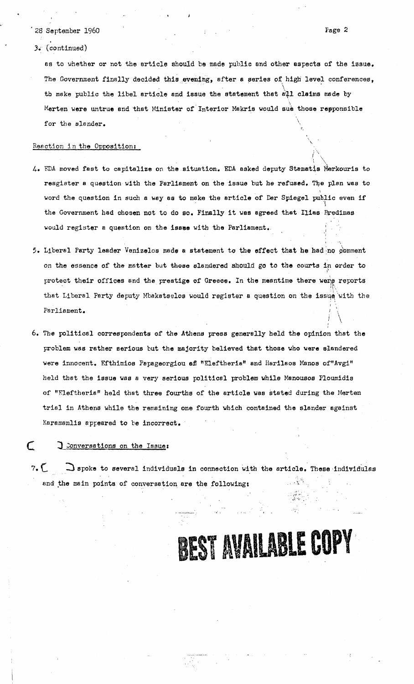- 28 September 1960<br>3. (continued)<br>as to whether o
- 3: (continued)

as to whether or not the article should be made public and other aspects of the issue. The Government finally decided this evening, after a series of high level conferences, th make public the libel article and issue the statement that all claims made by Merten were untrue and that Minister of Interior Makris would sue those repponsible for the slander.

Page 2

#### Reaction in the Opposition:

- 4. FDA moved fast to capitalize on the situation. EDA asked deputy Stamatis Merkouris to resgister a question with the Parliament on the issue but he refused. The plan was to word the question in such a *way* as to make the article of Der Spiegel public even if the Government had chosen not to do so. Finally it was agreed that Ilias Bredimas would register a question on the issee with the Parliament..
- 5. Liberal Party leader Venizelos made a statement to the effect that he had no comment on the essence of the matter but those slandered should go to the courts in order to ı. protect their offices and the prestige of Greece. In the meantime there were reports that Liberal Party deputy Mbakatselos would register a question on the issue uith the Parliament.
- 6. The political correspondents of the Athens press generally held the opinion that the problem was rather serious but the majority believed that those who were slandered were innocent. Efthimios Fapageorgiou **ef** "Eleftheria" and Harilaos Maws of"Avgi" held that the issue *was* a very serious political problem while Manousos Floumidia of "Fleftheria" held that three fourths of the article was stated during the Merten trial in Athens while the remaining one fourth which contained the slander against Earamanlis appeared to be incorrect. of "Eleftheria" held that three fourths of the article was stated during the Merten<br>trial in Athens while the remaining one fourth which contained the slander against<br>Karamanlis appeared to be incorrect.<br><br> $\frac{1}{2}$  conver

#### Conversations on the Issue:

and the main points of conversation are the following:

## **1ST V <sup>L</sup>;IC LE COPY**

ولوقا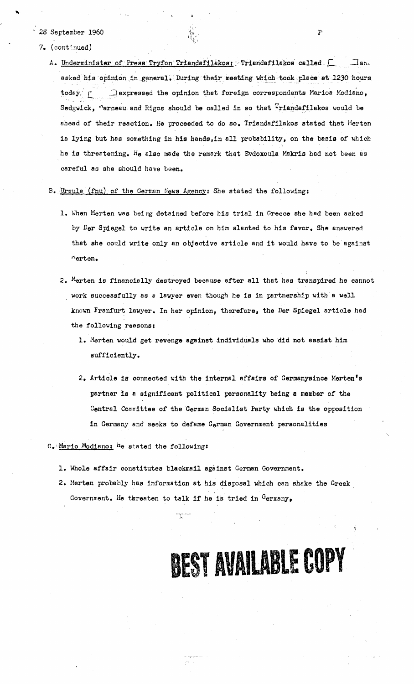#### - 28 September 1960

- 7, (continued)
- A. Underminister of Fress Tryfon Triandafilakos: Triandafilakos called  $\Box$ asked his opinion in general. During their meeting which took place at 1230 hours , tember 1960<br>
The channel of Fress Tryfon Triendsfilekos: Triendsfilekos called [ \_ \_]<br>
Underminister of Fress Tryfon Triendsfilekos: Triendsfilekos called [ \_ \_]<br>
asked his opinion in general. During their meeting which to Sedgwick, "arceau and Rigos should be called in so that  $T$ riandafilakos would be ahead of their reaction. He proceeded to do so. Triandafilakos stated that Merten is *lying* but has something in his hands,in all probability, on the basis of which he is threatening. he also made the remark that Evdoxoula Makris had not been as careful as she should have been.

#### B. Ursula (fnu) of the German News Agency: She stated the following:

- 1. When Merten was beirg detained before his trial in Greece she had been asked by *Der* Spiegel to write an article on him slanted to his favor. She answered that *she* could write only an objective article and it would have to be against "erten.
- 2. Merton is financially destroyed because after all that has transpired he cannot work successfully as *a* lawyer even though he *is* in partnership with a well known Franfurt lawyer. In her opinion, therefore, the Der Spiegel article had the following reasons:
	- 1. Marten would get revenge against individuals who did not assist him sufficiently.
	- 2. Article is connected with **the internal** *affairs* **of Germanysince Merten's partner** is a significant political personality being *a member* of the Central Committee of the German Socialist Party which is the opposition in Germany and seeks to defame German Government personalities

#### C.-Mario Modiano: he stated the following:

1. Whole affair constitutes blackmail against German Government.

سيب

2. Merten probably has information at his disposal which can shake the Greek, Government. He threaten to talk if he is tried in  $G$ ermany,

**BEST AVAILABLE COPY**